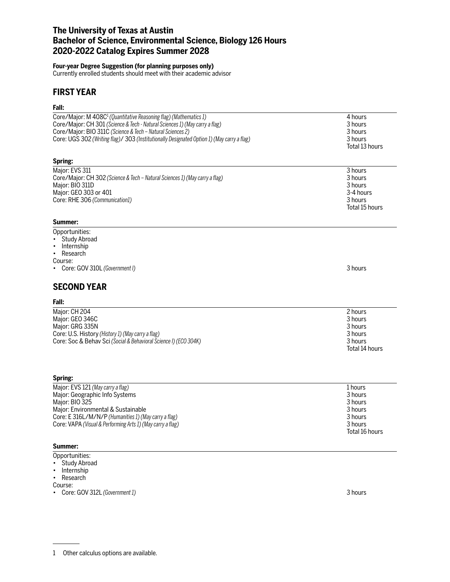## **The University of Texas at Austin Bachelor of Science, Environmental Science, Biology 126 Hours 2020-2022 Catalog Expires Summer 2028**

### **Four-year Degree Suggestion (for planning purposes only)**

Currently enrolled students should meet with their academic advisor

## **FIRST YEAR**

# **Fall:**

| rall:                                                                                                                                                                                                                                                                                                                               |                                                                                  |
|-------------------------------------------------------------------------------------------------------------------------------------------------------------------------------------------------------------------------------------------------------------------------------------------------------------------------------------|----------------------------------------------------------------------------------|
| Core/Major: M 408C <sup>1</sup> (Quantitative Reasoning flag) (Mathematics 1)<br>Core/Major: CH 301 (Science & Tech - Natural Sciences 1) (May carry a flag)<br>Core/Major: BIO 311C (Science & Tech - Natural Sciences 2)<br>Core: UGS 302 (Writing flag)/ 303 (Institutionally Designated Option 1) (May carry a flag)<br>Spring: | 4 hours<br>3 hours<br>3 hours<br>3 hours<br>Total 13 hours                       |
|                                                                                                                                                                                                                                                                                                                                     |                                                                                  |
| Major: EVS 311<br>Core/Major: CH 302 (Science & Tech - Natural Sciences 1) (May carry a flag)<br>Major: BIO 311D<br>Major: GEO 303 or 401<br>Core: RHE 306 (Communication1)<br>Summer:                                                                                                                                              | 3 hours<br>3 hours<br>3 hours<br>3-4 hours<br>3 hours<br>Total 15 hours          |
|                                                                                                                                                                                                                                                                                                                                     |                                                                                  |
| Opportunities:<br><b>Study Abroad</b><br>Internship<br>Research<br>$\bullet$<br>Course:<br>Core: GOV 310L (Government I)                                                                                                                                                                                                            | 3 hours                                                                          |
| <b>SECOND YEAR</b>                                                                                                                                                                                                                                                                                                                  |                                                                                  |
| Fall:                                                                                                                                                                                                                                                                                                                               |                                                                                  |
| Major: CH 204<br>Major: GEO 346C<br>Major: GRG 335N<br>Core: U.S. History (History 1) (May carry a flag)<br>Core: Soc & Behav Sci (Social & Behavioral Science I) (ECO 304K)                                                                                                                                                        | 2 hours<br>3 hours<br>3 hours<br>3 hours<br>3 hours<br>Total 14 hours            |
| Spring:                                                                                                                                                                                                                                                                                                                             |                                                                                  |
| Major: EVS 121 (May carry a flag)<br>Major: Geographic Info Systems<br>Major: BIO 325<br>Major: Environmental & Sustainable<br>Core: E 316L/M/N/P (Humanities 1) (May carry a flag)<br>Core: VAPA (Visual & Performing Arts 1) (May carry a flag)                                                                                   | 1 hours<br>3 hours<br>3 hours<br>3 hours<br>3 hours<br>3 hours<br>Total 16 hours |

#### **Summer:**

Opportunities:

- Study Abroad
- Internship
- Research

Course:

• Core: GOV 312L *(Government 1)* 3 hours

<sup>1</sup> Other calculus options are available.